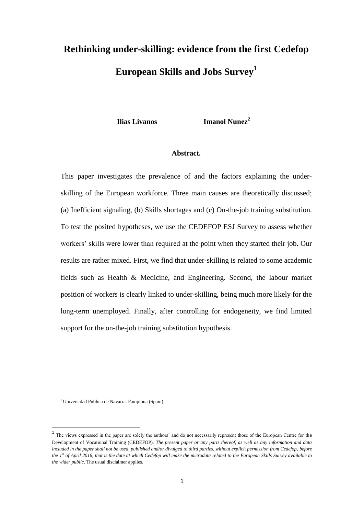# **Rethinking under-skilling: evidence from the first Cedefop European Skills and Jobs Survey<sup>1</sup>**

**Ilias Livanos Imanol Nunez<sup>2</sup>**

# **Abstract.**

This paper investigates the prevalence of and the factors explaining the underskilling of the European workforce. Three main causes are theoretically discussed; (a) Inefficient signaling, (b) Skills shortages and (c) On-the-job training substitution. To test the posited hypotheses, we use the CEDEFOP ESJ Survey to assess whether workers' skills were lower than required at the point when they started their job. Our results are rather mixed. First, we find that under-skilling is related to some academic fields such as Health & Medicine, and Engineering. Second, the labour market position of workers is clearly linked to under-skilling, being much more likely for the long-term unemployed. Finally, after controlling for endogeneity, we find limited support for the on-the-job training substitution hypothesis.

<sup>2</sup>Universidad Publica de Navarra. Pamplona (Spain).

<sup>&</sup>lt;sup>1</sup> The views expressed in the paper are solely the authors' and do not necessarily represent those of the European Centre for the Development of Vocational Training (CEDEFOP). *The present paper or any parts thereof, as well as any information and data included in the paper shall not be used, published and/or divulged to third parties, without explicit permission from Cedefop, before the*  $I^s$  *of April 2016, that is the date at which Cedefop will make the microdata related to the European Skills Survey available to the wider public*. The usual disclaimer applies.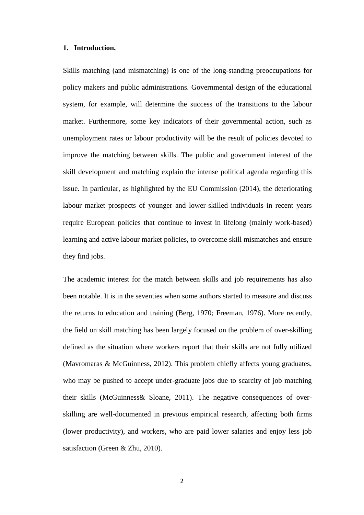#### **1. Introduction.**

Skills matching (and mismatching) is one of the long-standing preoccupations for policy makers and public administrations. Governmental design of the educational system, for example, will determine the success of the transitions to the labour market. Furthermore, some key indicators of their governmental action, such as unemployment rates or labour productivity will be the result of policies devoted to improve the matching between skills. The public and government interest of the skill development and matching explain the intense political agenda regarding this issue. In particular, as highlighted by the EU Commission (2014), the deteriorating labour market prospects of younger and lower-skilled individuals in recent years require European policies that continue to invest in lifelong (mainly work-based) learning and active labour market policies, to overcome skill mismatches and ensure they find jobs.

The academic interest for the match between skills and job requirements has also been notable. It is in the seventies when some authors started to measure and discuss the returns to education and training (Berg, 1970; Freeman, 1976). More recently, the field on skill matching has been largely focused on the problem of over-skilling defined as the situation where workers report that their skills are not fully utilized (Mavromaras & McGuinness, 2012). This problem chiefly affects young graduates, who may be pushed to accept under-graduate jobs due to scarcity of job matching their skills (McGuinness& Sloane, 2011). The negative consequences of overskilling are well-documented in previous empirical research, affecting both firms (lower productivity), and workers, who are paid lower salaries and enjoy less job satisfaction (Green & Zhu, 2010).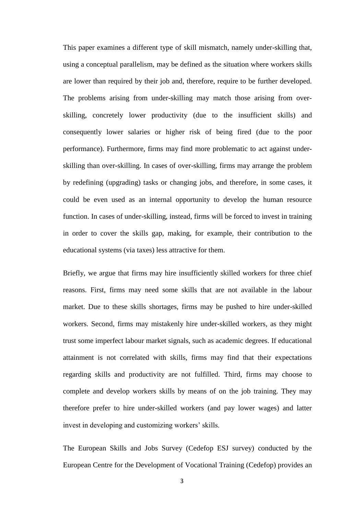This paper examines a different type of skill mismatch, namely under-skilling that, using a conceptual parallelism, may be defined as the situation where workers skills are lower than required by their job and, therefore, require to be further developed. The problems arising from under-skilling may match those arising from overskilling, concretely lower productivity (due to the insufficient skills) and consequently lower salaries or higher risk of being fired (due to the poor performance). Furthermore, firms may find more problematic to act against underskilling than over-skilling. In cases of over-skilling, firms may arrange the problem by redefining (upgrading) tasks or changing jobs, and therefore, in some cases, it could be even used as an internal opportunity to develop the human resource function. In cases of under-skilling, instead, firms will be forced to invest in training in order to cover the skills gap, making, for example, their contribution to the educational systems (via taxes) less attractive for them.

Briefly, we argue that firms may hire insufficiently skilled workers for three chief reasons. First, firms may need some skills that are not available in the labour market. Due to these skills shortages, firms may be pushed to hire under-skilled workers. Second, firms may mistakenly hire under-skilled workers, as they might trust some imperfect labour market signals, such as academic degrees. If educational attainment is not correlated with skills, firms may find that their expectations regarding skills and productivity are not fulfilled. Third, firms may choose to complete and develop workers skills by means of on the job training. They may therefore prefer to hire under-skilled workers (and pay lower wages) and latter invest in developing and customizing workers' skills.

The European Skills and Jobs Survey (Cedefop ESJ survey) conducted by the European Centre for the Development of Vocational Training (Cedefop) provides an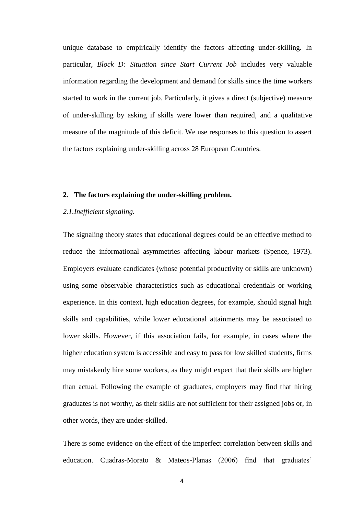unique database to empirically identify the factors affecting under-skilling. In particular, *Block D: Situation since Start Current Job* includes very valuable information regarding the development and demand for skills since the time workers started to work in the current job. Particularly, it gives a direct (subjective) measure of under-skilling by asking if skills were lower than required, and a qualitative measure of the magnitude of this deficit. We use responses to this question to assert the factors explaining under-skilling across 28 European Countries.

#### **2. The factors explaining the under-skilling problem.**

# *2.1.Inefficient signaling.*

The signaling theory states that educational degrees could be an effective method to reduce the informational asymmetries affecting labour markets (Spence, 1973). Employers evaluate candidates (whose potential productivity or skills are unknown) using some observable characteristics such as educational credentials or working experience. In this context, high education degrees, for example, should signal high skills and capabilities, while lower educational attainments may be associated to lower skills. However, if this association fails, for example, in cases where the higher education system is accessible and easy to pass for low skilled students, firms may mistakenly hire some workers, as they might expect that their skills are higher than actual. Following the example of graduates, employers may find that hiring graduates is not worthy, as their skills are not sufficient for their assigned jobs or, in other words, they are under-skilled.

There is some evidence on the effect of the imperfect correlation between skills and education. Cuadras-Morato & Mateos-Planas (2006) find that graduates'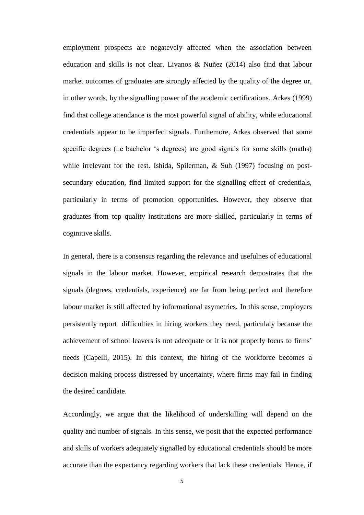employment prospects are negatevely affected when the association between education and skills is not clear. Livanos & Nuñez (2014) also find that labour market outcomes of graduates are strongly affected by the quality of the degree or, in other words, by the signalling power of the academic certifications. Arkes (1999) find that college attendance is the most powerful signal of ability, while educational credentials appear to be imperfect signals. Furthemore, Arkes observed that some specific degrees (i.e bachelor 's degrees) are good signals for some skills (maths) while irrelevant for the rest. Ishida, Spilerman, & Suh (1997) focusing on postsecundary education, find limited support for the signalling effect of credentials, particularly in terms of promotion opportunities. However, they observe that graduates from top quality institutions are more skilled, particularly in terms of coginitive skills.

In general, there is a consensus regarding the relevance and usefulnes of educational signals in the labour market. However, empirical research demostrates that the signals (degrees, credentials, experience) are far from being perfect and therefore labour market is still affected by informational asymetries. In this sense, employers persistently report difficulties in hiring workers they need, particulaly because the achievement of school leavers is not adecquate or it is not properly focus to firms' needs (Capelli, 2015). In this context, the hiring of the workforce becomes a decision making process distressed by uncertainty, where firms may fail in finding the desired candidate.

Accordingly, we argue that the likelihood of underskilling will depend on the quality and number of signals. In this sense, we posit that the expected performance and skills of workers adequately signalled by educational credentials should be more accurate than the expectancy regarding workers that lack these credentials. Hence, if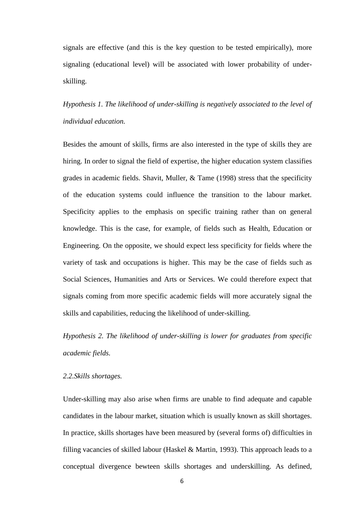signals are effective (and this is the key question to be tested empirically), more signaling (educational level) will be associated with lower probability of underskilling.

*Hypothesis 1. The likelihood of under-skilling is negatively associated to the level of individual education.*

Besides the amount of skills, firms are also interested in the type of skills they are hiring. In order to signal the field of expertise, the higher education system classifies grades in academic fields. Shavit, Muller, & Tame (1998) stress that the specificity of the education systems could influence the transition to the labour market. Specificity applies to the emphasis on specific training rather than on general knowledge. This is the case, for example, of fields such as Health, Education or Engineering. On the opposite, we should expect less specificity for fields where the variety of task and occupations is higher. This may be the case of fields such as Social Sciences, Humanities and Arts or Services. We could therefore expect that signals coming from more specific academic fields will more accurately signal the skills and capabilities, reducing the likelihood of under-skilling.

*Hypothesis 2. The likelihood of under-skilling is lower for graduates from specific academic fields.* 

*2.2.Skills shortages.*

Under-skilling may also arise when firms are unable to find adequate and capable candidates in the labour market, situation which is usually known as skill shortages. In practice, skills shortages have been measured by (several forms of) difficulties in filling vacancies of skilled labour (Haskel & Martin, 1993). This approach leads to a conceptual divergence bewteen skills shortages and underskilling. As defined,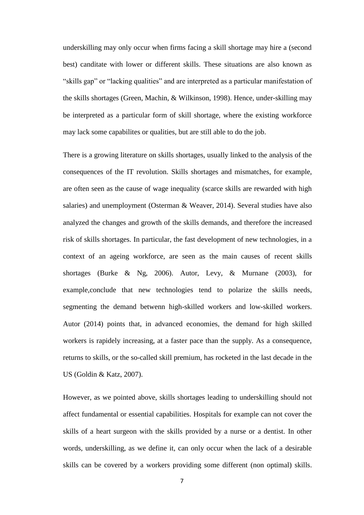underskilling may only occur when firms facing a skill shortage may hire a (second best) canditate with lower or different skills. These situations are also known as "skills gap" or "lacking qualities" and are interpreted as a particular manifestation of the skills shortages (Green, Machin, & Wilkinson, 1998). Hence, under-skilling may be interpreted as a particular form of skill shortage, where the existing workforce may lack some capabilites or qualities, but are still able to do the job.

There is a growing literature on skills shortages, usually linked to the analysis of the consequences of the IT revolution. Skills shortages and mismatches, for example, are often seen as the cause of wage inequality (scarce skills are rewarded with high salaries) and unemployment (Osterman & Weaver, 2014). Several studies have also analyzed the changes and growth of the skills demands, and therefore the increased risk of skills shortages. In particular, the fast development of new technologies, in a context of an ageing workforce, are seen as the main causes of recent skills shortages (Burke & Ng, 2006). Autor, Levy, & Murnane (2003), for example,conclude that new technologies tend to polarize the skills needs, segmenting the demand betwenn high-skilled workers and low-skilled workers. Autor (2014) points that, in advanced economies, the demand for high skilled workers is rapidely increasing, at a faster pace than the supply. As a consequence, returns to skills, or the so-called skill premium, has rocketed in the last decade in the US (Goldin & Katz, 2007).

However, as we pointed above, skills shortages leading to underskilling should not affect fundamental or essential capabilities. Hospitals for example can not cover the skills of a heart surgeon with the skills provided by a nurse or a dentist. In other words, underskilling, as we define it, can only occur when the lack of a desirable skills can be covered by a workers providing some different (non optimal) skills.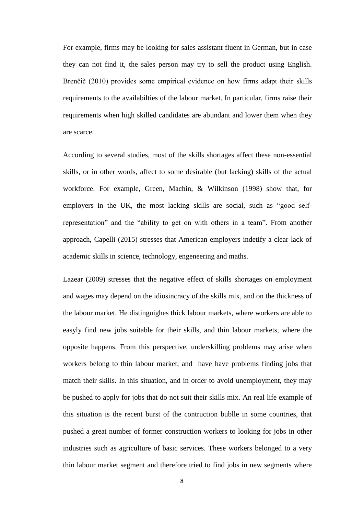For example, firms may be looking for sales assistant fluent in German, but in case they can not find it, the sales person may try to sell the product using English. Brenčič (2010) provides some empirical evidence on how firms adapt their skills requirements to the availabilties of the labour market. In particular, firms raise their requirements when high skilled candidates are abundant and lower them when they are scarce.

According to several studies, most of the skills shortages affect these non-essential skills, or in other words, affect to some desirable (but lacking) skills of the actual workforce. For example, Green, Machin, & Wilkinson (1998) show that, for employers in the UK, the most lacking skills are social, such as "good selfrepresentation" and the "ability to get on with others in a team". From another approach, Capelli (2015) stresses that American employers indetify a clear lack of academic skills in science, technology, engeneering and maths.

Lazear (2009) stresses that the negative effect of skills shortages on employment and wages may depend on the idiosincracy of the skills mix, and on the thickness of the labour market. He distinguighes thick labour markets, where workers are able to easyly find new jobs suitable for their skills, and thin labour markets, where the opposite happens. From this perspective, underskilling problems may arise when workers belong to thin labour market, and have have problems finding jobs that match their skills. In this situation, and in order to avoid unemployment, they may be pushed to apply for jobs that do not suit their skills mix. An real life example of this situation is the recent burst of the contruction bublle in some countries, that pushed a great number of former construction workers to looking for jobs in other industries such as agriculture of basic services. These workers belonged to a very thin labour market segment and therefore tried to find jobs in new segments where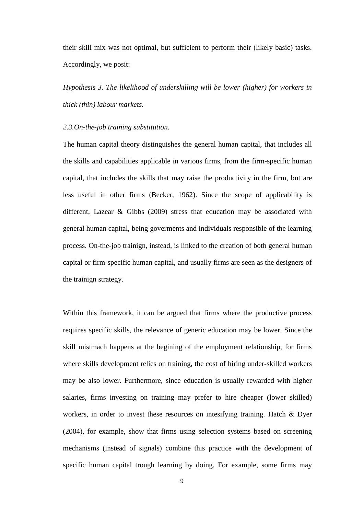their skill mix was not optimal, but sufficient to perform their (likely basic) tasks. Accordingly, we posit:

*Hypothesis 3. The likelihood of underskilling will be lower (higher) for workers in thick (thin) labour markets.*

#### *2.3.On-the-job training substitution.*

The human capital theory distinguishes the general human capital, that includes all the skills and capabilities applicable in various firms, from the firm-specific human capital, that includes the skills that may raise the productivity in the firm, but are less useful in other firms (Becker, 1962). Since the scope of applicability is different, Lazear & Gibbs (2009) stress that education may be associated with general human capital, being goverments and individuals responsible of the learning process. On-the-job trainign, instead, is linked to the creation of both general human capital or firm-specific human capital, and usually firms are seen as the designers of the trainign strategy.

Within this framework, it can be argued that firms where the productive process requires specific skills, the relevance of generic education may be lower. Since the skill mistmach happens at the begining of the employment relationship, for firms where skills development relies on training, the cost of hiring under-skilled workers may be also lower. Furthermore, since education is usually rewarded with higher salaries, firms investing on training may prefer to hire cheaper (lower skilled) workers, in order to invest these resources on intesifying training. Hatch & Dyer (2004), for example, show that firms using selection systems based on screening mechanisms (instead of signals) combine this practice with the development of specific human capital trough learning by doing. For example, some firms may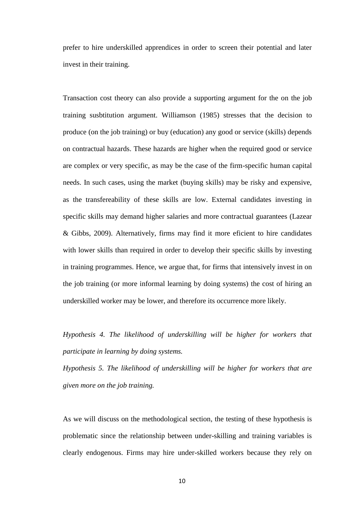prefer to hire underskilled apprendices in order to screen their potential and later invest in their training.

Transaction cost theory can also provide a supporting argument for the on the job training susbtitution argument. Williamson (1985) stresses that the decision to produce (on the job training) or buy (education) any good or service (skills) depends on contractual hazards. These hazards are higher when the required good or service are complex or very specific, as may be the case of the firm-specific human capital needs. In such cases, using the market (buying skills) may be risky and expensive, as the transfereability of these skills are low. External candidates investing in specific skills may demand higher salaries and more contractual guarantees (Lazear & Gibbs, 2009). Alternatively, firms may find it more eficient to hire candidates with lower skills than required in order to develop their specific skills by investing in training programmes. Hence, we argue that, for firms that intensively invest in on the job training (or more informal learning by doing systems) the cost of hiring an underskilled worker may be lower, and therefore its occurrence more likely.

*Hypothesis 4. The likelihood of underskilling will be higher for workers that participate in learning by doing systems.* 

*Hypothesis 5. The likelihood of underskilling will be higher for workers that are given more on the job training.*

As we will discuss on the methodological section, the testing of these hypothesis is problematic since the relationship between under-skilling and training variables is clearly endogenous. Firms may hire under-skilled workers because they rely on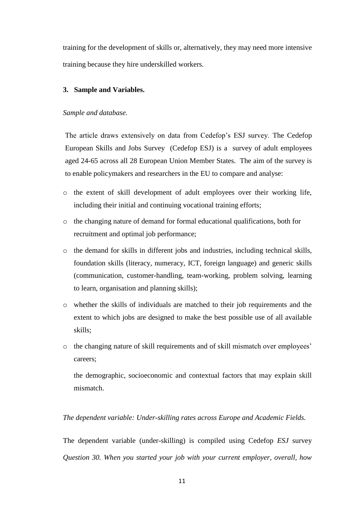training for the development of skills or, alternatively, they may need more intensive training because they hire underskilled workers.

## **3. Sample and Variables.**

## *Sample and database.*

The article draws extensively on data from Cedefop's ESJ survey. The Cedefop European Skills and Jobs Survey (Cedefop ESJ) is a survey of adult employees aged 24-65 across all 28 European Union Member States. The aim of the survey is to enable policymakers and researchers in the EU to compare and analyse:

- o the extent of skill development of adult employees over their working life, including their initial and continuing vocational training efforts;
- o the changing nature of demand for formal educational qualifications, both for recruitment and optimal job performance;
- o the demand for skills in different jobs and industries, including technical skills, foundation skills (literacy, numeracy, ICT, foreign language) and generic skills (communication, customer-handling, team-working, problem solving, learning to learn, organisation and planning skills);
- o whether the skills of individuals are matched to their job requirements and the extent to which jobs are designed to make the best possible use of all available skills;
- o the changing nature of skill requirements and of skill mismatch over employees' careers;

the demographic, socioeconomic and contextual factors that may explain skill mismatch.

## *The dependent variable: Under-skilling rates across Europe and Academic Fields.*

The dependent variable (under-skilling) is compiled using Cedefop *ESJ* survey *Question 30. When you started your job with your current employer, overall, how*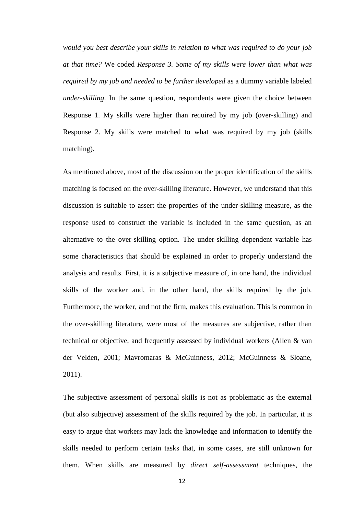*would you best describe your skills in relation to what was required to do your job at that time?* We coded *Response 3. Some of my skills were lower than what was required by my job and needed to be further developed* as a dummy variable labeled *under-skilling*. In the same question, respondents were given the choice between Response 1. My skills were higher than required by my job (over-skilling) and Response 2. My skills were matched to what was required by my job (skills matching).

As mentioned above, most of the discussion on the proper identification of the skills matching is focused on the over-skilling literature. However, we understand that this discussion is suitable to assert the properties of the under-skilling measure, as the response used to construct the variable is included in the same question, as an alternative to the over-skilling option. The under-skilling dependent variable has some characteristics that should be explained in order to properly understand the analysis and results. First, it is a subjective measure of, in one hand, the individual skills of the worker and, in the other hand, the skills required by the job. Furthermore, the worker, and not the firm, makes this evaluation. This is common in the over-skilling literature, were most of the measures are subjective, rather than technical or objective, and frequently assessed by individual workers (Allen & van der Velden, 2001; Mavromaras & McGuinness, 2012; McGuinness & Sloane, 2011).

The subjective assessment of personal skills is not as problematic as the external (but also subjective) assessment of the skills required by the job. In particular, it is easy to argue that workers may lack the knowledge and information to identify the skills needed to perform certain tasks that, in some cases, are still unknown for them. When skills are measured by *direct self-assessment* techniques, the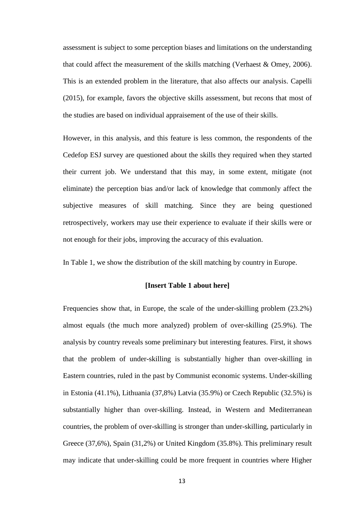assessment is subject to some perception biases and limitations on the understanding that could affect the measurement of the skills matching (Verhaest & Omey, 2006). This is an extended problem in the literature, that also affects our analysis. Capelli (2015), for example, favors the objective skills assessment, but recons that most of the studies are based on individual appraisement of the use of their skills.

However, in this analysis, and this feature is less common, the respondents of the Cedefop ESJ survey are questioned about the skills they required when they started their current job. We understand that this may, in some extent, mitigate (not eliminate) the perception bias and/or lack of knowledge that commonly affect the subjective measures of skill matching. Since they are being questioned retrospectively, workers may use their experience to evaluate if their skills were or not enough for their jobs, improving the accuracy of this evaluation.

In Table 1, we show the distribution of the skill matching by country in Europe.

# **[Insert Table 1 about here]**

Frequencies show that, in Europe, the scale of the under-skilling problem (23.2%) almost equals (the much more analyzed) problem of over-skilling (25.9%). The analysis by country reveals some preliminary but interesting features. First, it shows that the problem of under-skilling is substantially higher than over-skilling in Eastern countries, ruled in the past by Communist economic systems. Under-skilling in Estonia (41.1%), Lithuania (37,8%) Latvia (35.9%) or Czech Republic (32.5%) is substantially higher than over-skilling. Instead, in Western and Mediterranean countries, the problem of over-skilling is stronger than under-skilling, particularly in Greece (37,6%), Spain (31,2%) or United Kingdom (35.8%). This preliminary result may indicate that under-skilling could be more frequent in countries where Higher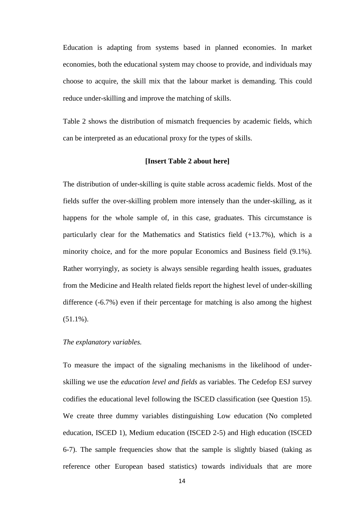Education is adapting from systems based in planned economies. In market economies, both the educational system may choose to provide, and individuals may choose to acquire, the skill mix that the labour market is demanding. This could reduce under-skilling and improve the matching of skills.

Table 2 shows the distribution of mismatch frequencies by academic fields, which can be interpreted as an educational proxy for the types of skills.

#### **[Insert Table 2 about here]**

The distribution of under-skilling is quite stable across academic fields. Most of the fields suffer the over-skilling problem more intensely than the under-skilling, as it happens for the whole sample of, in this case, graduates. This circumstance is particularly clear for the Mathematics and Statistics field  $(+13.7\%)$ , which is a minority choice, and for the more popular Economics and Business field (9.1%). Rather worryingly, as society is always sensible regarding health issues, graduates from the Medicine and Health related fields report the highest level of under-skilling difference (-6.7%) even if their percentage for matching is also among the highest  $(51.1\%)$ .

### *The explanatory variables.*

To measure the impact of the signaling mechanisms in the likelihood of underskilling we use the *education level and fields* as variables. The Cedefop ESJ survey codifies the educational level following the ISCED classification (see Question 15). We create three dummy variables distinguishing Low education (No completed education, ISCED 1), Medium education (ISCED 2-5) and High education (ISCED 6-7). The sample frequencies show that the sample is slightly biased (taking as reference other European based statistics) towards individuals that are more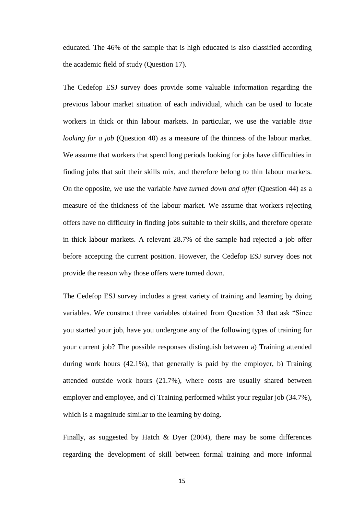educated. The 46% of the sample that is high educated is also classified according the academic field of study (Question 17).

The Cedefop ESJ survey does provide some valuable information regarding the previous labour market situation of each individual, which can be used to locate workers in thick or thin labour markets. In particular, we use the variable *time looking for a job* (Question 40) as a measure of the thinness of the labour market. We assume that workers that spend long periods looking for jobs have difficulties in finding jobs that suit their skills mix, and therefore belong to thin labour markets. On the opposite, we use the variable *have turned down and offer* (Question 44) as a measure of the thickness of the labour market. We assume that workers rejecting offers have no difficulty in finding jobs suitable to their skills, and therefore operate in thick labour markets. A relevant 28.7% of the sample had rejected a job offer before accepting the current position. However, the Cedefop ESJ survey does not provide the reason why those offers were turned down.

The Cedefop ESJ survey includes a great variety of training and learning by doing variables. We construct three variables obtained from Question 33 that ask "Since you started your job, have you undergone any of the following types of training for your current job? The possible responses distinguish between a) Training attended during work hours (42.1%), that generally is paid by the employer, b) Training attended outside work hours (21.7%), where costs are usually shared between employer and employee, and c) Training performed whilst your regular job (34.7%), which is a magnitude similar to the learning by doing.

Finally, as suggested by Hatch  $\&$  Dyer (2004), there may be some differences regarding the development of skill between formal training and more informal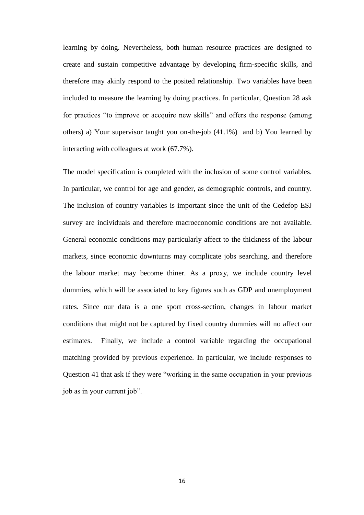learning by doing. Nevertheless, both human resource practices are designed to create and sustain competitive advantage by developing firm-specific skills, and therefore may akinly respond to the posited relationship. Two variables have been included to measure the learning by doing practices. In particular, Question 28 ask for practices "to improve or accquire new skills" and offers the response (among others) a) Your supervisor taught you on-the-job (41.1%) and b) You learned by interacting with colleagues at work (67.7%).

The model specification is completed with the inclusion of some control variables. In particular, we control for age and gender, as demographic controls, and country. The inclusion of country variables is important since the unit of the Cedefop ESJ survey are individuals and therefore macroeconomic conditions are not available. General economic conditions may particularly affect to the thickness of the labour markets, since economic downturns may complicate jobs searching, and therefore the labour market may become thiner. As a proxy, we include country level dummies, which will be associated to key figures such as GDP and unemployment rates. Since our data is a one sport cross-section, changes in labour market conditions that might not be captured by fixed country dummies will no affect our estimates. Finally, we include a control variable regarding the occupational matching provided by previous experience. In particular, we include responses to Question 41 that ask if they were "working in the same occupation in your previous job as in your current job".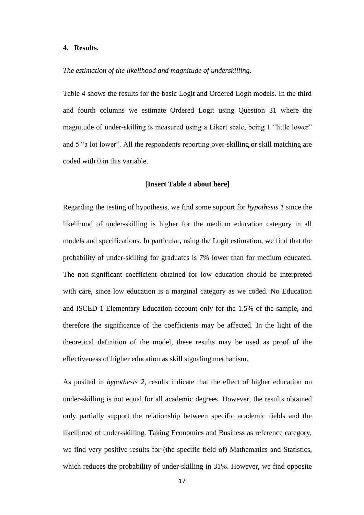#### **4. Results.**

#### *The estimation of the likelihood and magnitude of underskilling.*

Table 4 shows the results for the basic Logit and Ordered Logit models. In the third and fourth columns we estimate Ordered Logit using Question 31 where the magnitude of under-skilling is measured using a Likert scale, being 1 "little lower" and 5 "a lot lower". All the respondents reporting over-skilling or skill matching are coded with 0 in this variable.

### **[Insert Table 4 about here]**

Regarding the testing of hypothesis, we find some support for *hypothesis 1* since the likelihood of under-skilling is higher for the medium education category in all models and specifications. In particular, using the Logit estimation, we find that the probability of under-skilling for graduates is 7% lower than for medium educated. The non-significant coefficient obtained for low education should be interpreted with care, since low education is a marginal category as we coded. No Education and ISCED 1 Elementary Education account only for the 1.5% of the sample, and therefore the significance of the coefficients may be affected. In the light of the theoretical definition of the model, these results may be used as proof of the effectiveness of higher education as skill signaling mechanism.

As posited in *hypothesis 2,* results indicate that the effect of higher education on under-skilling is not equal for all academic degrees. However, the results obtained only partially support the relationship between specific academic fields and the likelihood of under-skilling. Taking Economics and Business as reference category, we find very positive results for (the specific field of) Mathematics and Statistics, which reduces the probability of under-skilling in 31%. However, we find opposite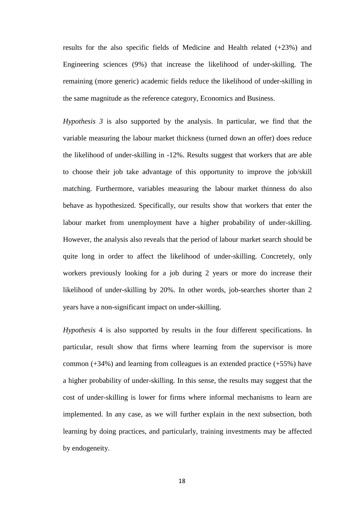results for the also specific fields of Medicine and Health related (+23%) and Engineering sciences (9%) that increase the likelihood of under-skilling. The remaining (more generic) academic fields reduce the likelihood of under-skilling in the same magnitude as the reference category, Economics and Business.

*Hypothesis 3* is also supported by the analysis. In particular, we find that the variable measuring the labour market thickness (turned down an offer) does reduce the likelihood of under-skilling in -12%. Results suggest that workers that are able to choose their job take advantage of this opportunity to improve the job/skill matching. Furthermore, variables measuring the labour market thinness do also behave as hypothesized. Specifically, our results show that workers that enter the labour market from unemployment have a higher probability of under-skilling. However, the analysis also reveals that the period of labour market search should be quite long in order to affect the likelihood of under-skilling. Concretely, only workers previously looking for a job during 2 years or more do increase their likelihood of under-skilling by 20%. In other words, job-searches shorter than 2 years have a non-significant impact on under-skilling.

*Hypothesis* 4 is also supported by results in the four different specifications. In particular, result show that firms where learning from the supervisor is more common (+34%) and learning from colleagues is an extended practice (+55%) have a higher probability of under-skilling. In this sense, the results may suggest that the cost of under-skilling is lower for firms where informal mechanisms to learn are implemented. In any case, as we will further explain in the next subsection, both learning by doing practices, and particularly, training investments may be affected by endogeneity.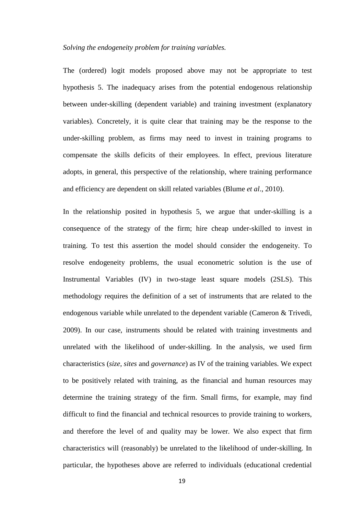#### *Solving the endogeneity problem for training variables.*

The (ordered) logit models proposed above may not be appropriate to test hypothesis 5. The inadequacy arises from the potential endogenous relationship between under-skilling (dependent variable) and training investment (explanatory variables). Concretely, it is quite clear that training may be the response to the under-skilling problem, as firms may need to invest in training programs to compensate the skills deficits of their employees. In effect, previous literature adopts, in general, this perspective of the relationship, where training performance and efficiency are dependent on skill related variables (Blume *et al*., 2010).

In the relationship posited in hypothesis 5, we argue that under-skilling is a consequence of the strategy of the firm; hire cheap under-skilled to invest in training. To test this assertion the model should consider the endogeneity. To resolve endogeneity problems, the usual econometric solution is the use of Instrumental Variables (IV) in two-stage least square models (2SLS). This methodology requires the definition of a set of instruments that are related to the endogenous variable while unrelated to the dependent variable (Cameron & Trivedi, 2009). In our case, instruments should be related with training investments and unrelated with the likelihood of under-skilling. In the analysis, we used firm characteristics (*size*, *sites* and *governance*) as IV of the training variables. We expect to be positively related with training, as the financial and human resources may determine the training strategy of the firm. Small firms, for example, may find difficult to find the financial and technical resources to provide training to workers, and therefore the level of and quality may be lower. We also expect that firm characteristics will (reasonably) be unrelated to the likelihood of under-skilling. In particular, the hypotheses above are referred to individuals (educational credential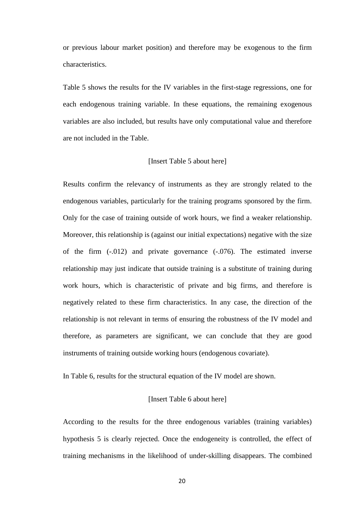or previous labour market position) and therefore may be exogenous to the firm characteristics.

Table 5 shows the results for the IV variables in the first-stage regressions, one for each endogenous training variable. In these equations, the remaining exogenous variables are also included, but results have only computational value and therefore are not included in the Table.

#### [Insert Table 5 about here]

Results confirm the relevancy of instruments as they are strongly related to the endogenous variables, particularly for the training programs sponsored by the firm. Only for the case of training outside of work hours, we find a weaker relationship. Moreover, this relationship is (against our initial expectations) negative with the size of the firm (-.012) and private governance (-.076). The estimated inverse relationship may just indicate that outside training is a substitute of training during work hours, which is characteristic of private and big firms, and therefore is negatively related to these firm characteristics. In any case, the direction of the relationship is not relevant in terms of ensuring the robustness of the IV model and therefore, as parameters are significant, we can conclude that they are good instruments of training outside working hours (endogenous covariate).

In Table 6, results for the structural equation of the IV model are shown.

# [Insert Table 6 about here]

According to the results for the three endogenous variables (training variables) hypothesis 5 is clearly rejected. Once the endogeneity is controlled, the effect of training mechanisms in the likelihood of under-skilling disappears. The combined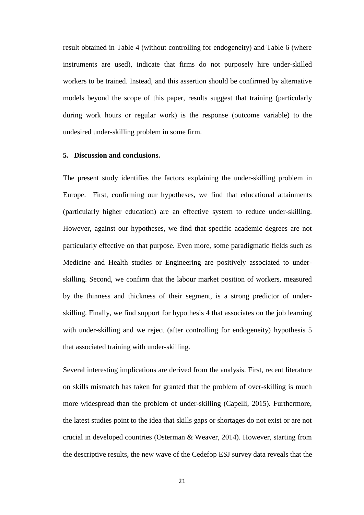result obtained in Table 4 (without controlling for endogeneity) and Table 6 (where instruments are used), indicate that firms do not purposely hire under-skilled workers to be trained. Instead, and this assertion should be confirmed by alternative models beyond the scope of this paper, results suggest that training (particularly during work hours or regular work) is the response (outcome variable) to the undesired under-skilling problem in some firm.

#### **5. Discussion and conclusions.**

The present study identifies the factors explaining the under-skilling problem in Europe. First, confirming our hypotheses, we find that educational attainments (particularly higher education) are an effective system to reduce under-skilling. However, against our hypotheses, we find that specific academic degrees are not particularly effective on that purpose. Even more, some paradigmatic fields such as Medicine and Health studies or Engineering are positively associated to underskilling. Second, we confirm that the labour market position of workers, measured by the thinness and thickness of their segment, is a strong predictor of underskilling. Finally, we find support for hypothesis 4 that associates on the job learning with under-skilling and we reject (after controlling for endogeneity) hypothesis 5 that associated training with under-skilling.

Several interesting implications are derived from the analysis. First, recent literature on skills mismatch has taken for granted that the problem of over-skilling is much more widespread than the problem of under-skilling (Capelli, 2015). Furthermore, the latest studies point to the idea that skills gaps or shortages do not exist or are not crucial in developed countries (Osterman & Weaver, 2014). However, starting from the descriptive results, the new wave of the Cedefop ESJ survey data reveals that the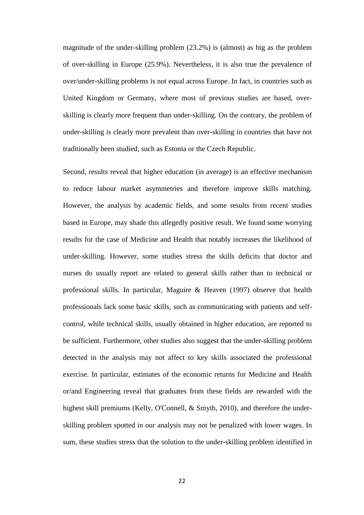magnitude of the under-skilling problem (23.2%) is (almost) as big as the problem of over-skilling in Europe (25.9%). Nevertheless, it is also true the prevalence of over/under-skilling problems is not equal across Europe. In fact, in countries such as United Kingdom or Germany, where most of previous studies are based, overskilling is clearly more frequent than under-skilling. On the contrary, the problem of under-skilling is clearly more prevalent than over-skilling in countries that have not traditionally been studied, such as Estonia or the Czech Republic.

Second, results reveal that higher education (in average) is an effective mechanism to reduce labour market asymmetries and therefore improve skills matching. However, the analysis by academic fields, and some results from recent studies based in Europe, may shade this allegedly positive result. We found some worrying results for the case of Medicine and Health that notably increases the likelihood of under-skilling. However, some studies stress the skills deficits that doctor and nurses do usually report are related to general skills rather than to technical or professional skills. In particular, Maguire & Heaven (1997) observe that health professionals lack some basic skills, such as communicating with patients and selfcontrol, while technical skills, usually obtained in higher education, are reported to be sufficient. Furthermore, other studies also suggest that the under-skilling problem detected in the analysis may not affect to key skills associated the professional exercise. In particular, estimates of the economic returns for Medicine and Health or/and Engineering reveal that graduates from these fields are rewarded with the highest skill premiums (Kelly, O'Connell, & Smyth, 2010), and therefore the underskilling problem spotted in our analysis may not be penalized with lower wages. In sum, these studies stress that the solution to the under-skilling problem identified in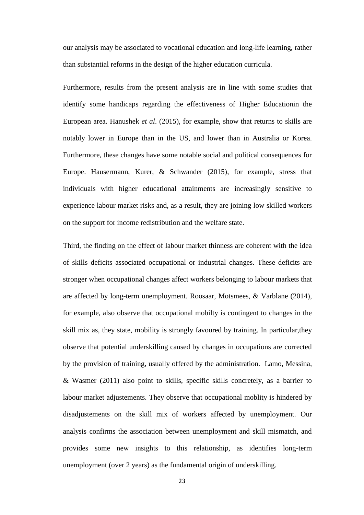our analysis may be associated to vocational education and long-life learning, rather than substantial reforms in the design of the higher education curricula.

Furthermore, results from the present analysis are in line with some studies that identify some handicaps regarding the effectiveness of Higher Educationin the European area. Hanushek *et al*. (2015), for example, show that returns to skills are notably lower in Europe than in the US, and lower than in Australia or Korea. Furthermore, these changes have some notable social and political consequences for Europe. Hausermann, Kurer, & Schwander (2015), for example, stress that individuals with higher educational attainments are increasingly sensitive to experience labour market risks and, as a result, they are joining low skilled workers on the support for income redistribution and the welfare state.

Third, the finding on the effect of labour market thinness are coherent with the idea of skills deficits associated occupational or industrial changes. These deficits are stronger when occupational changes affect workers belonging to labour markets that are affected by long-term unemployment. Roosaar, Motsmees, & Varblane (2014), for example, also observe that occupational mobilty is contingent to changes in the skill mix as, they state, mobility is strongly favoured by training. In particular,they observe that potential underskilling caused by changes in occupations are corrected by the provision of training, usually offered by the administration. Lamo, Messina, & Wasmer (2011) also point to skills, specific skills concretely, as a barrier to labour market adjustements. They observe that occupational moblity is hindered by disadjustements on the skill mix of workers affected by unemployment. Our analysis confirms the association between unemployment and skill mismatch, and provides some new insights to this relationship, as identifies long-term unemployment (over 2 years) as the fundamental origin of underskilling.

23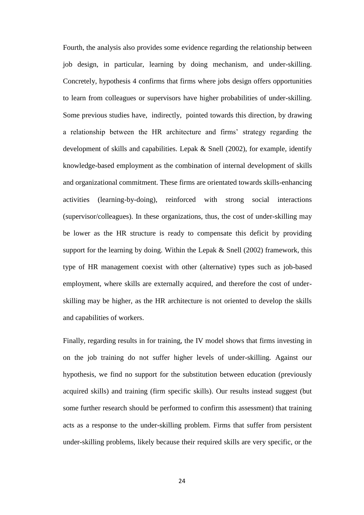Fourth, the analysis also provides some evidence regarding the relationship between job design, in particular, learning by doing mechanism, and under-skilling. Concretely, hypothesis 4 confirms that firms where jobs design offers opportunities to learn from colleagues or supervisors have higher probabilities of under-skilling. Some previous studies have, indirectly, pointed towards this direction, by drawing a relationship between the HR architecture and firms' strategy regarding the development of skills and capabilities. Lepak & Snell (2002), for example, identify knowledge-based employment as the combination of internal development of skills and organizational commitment. These firms are orientated towards skills-enhancing activities (learning-by-doing), reinforced with strong social interactions (supervisor/colleagues). In these organizations, thus, the cost of under-skilling may be lower as the HR structure is ready to compensate this deficit by providing support for the learning by doing. Within the Lepak & Snell (2002) framework, this type of HR management coexist with other (alternative) types such as job-based employment, where skills are externally acquired, and therefore the cost of underskilling may be higher, as the HR architecture is not oriented to develop the skills and capabilities of workers.

Finally, regarding results in for training, the IV model shows that firms investing in on the job training do not suffer higher levels of under-skilling. Against our hypothesis, we find no support for the substitution between education (previously acquired skills) and training (firm specific skills). Our results instead suggest (but some further research should be performed to confirm this assessment) that training acts as a response to the under-skilling problem. Firms that suffer from persistent under-skilling problems, likely because their required skills are very specific, or the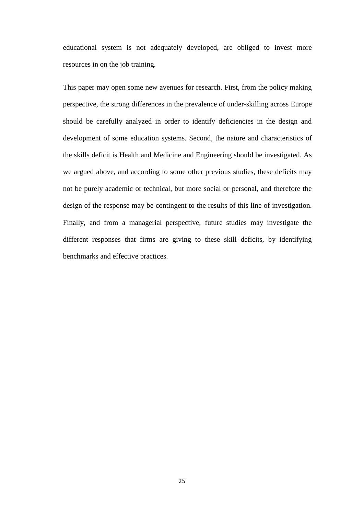educational system is not adequately developed, are obliged to invest more resources in on the job training.

This paper may open some new avenues for research. First, from the policy making perspective, the strong differences in the prevalence of under-skilling across Europe should be carefully analyzed in order to identify deficiencies in the design and development of some education systems. Second, the nature and characteristics of the skills deficit is Health and Medicine and Engineering should be investigated. As we argued above, and according to some other previous studies, these deficits may not be purely academic or technical, but more social or personal, and therefore the design of the response may be contingent to the results of this line of investigation. Finally, and from a managerial perspective, future studies may investigate the different responses that firms are giving to these skill deficits, by identifying benchmarks and effective practices.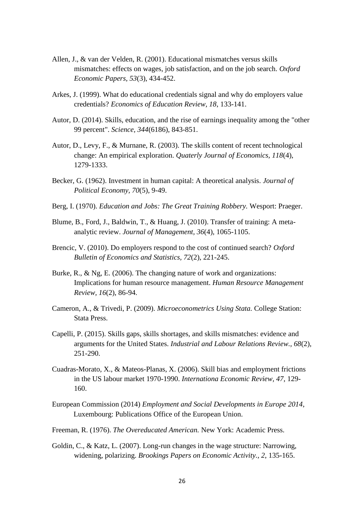- Allen, J., & van der Velden, R. (2001). Educational mismatches versus skills mismatches: effects on wages, job satisfaction, and on the job search. *Oxford Economic Papers, 53*(3), 434-452.
- Arkes, J. (1999). What do educational credentials signal and why do employers value credentials? *Economics of Education Review, 18*, 133-141.
- Autor, D. (2014). Skills, education, and the rise of earnings inequality among the "other 99 percent". *Science, 344*(6186), 843-851.
- Autor, D., Levy, F., & Murnane, R. (2003). The skills content of recent technological change: An empirical exploration. *Quaterly Journal of Economics, 118*(4), 1279-1333.
- Becker, G. (1962). Investment in human capital: A theoretical analysis. *Journal of Political Economy, 70*(5), 9-49.
- Berg, I. (1970). *Education and Jobs: The Great Training Robbery.* Wesport: Praeger.
- Blume, B., Ford, J., Baldwin, T., & Huang, J. (2010). Transfer of training: A metaanalytic review. *Journal of Management, 36*(4), 1065-1105.
- Brencic, V. (2010). Do employers respond to the cost of continued search? *Oxford Bulletin of Economics and Statistics, 72*(2), 221-245.
- Burke, R., & Ng, E. (2006). The changing nature of work and organizations: Implications for human resource management. *Human Resource Management Review, 16*(2), 86-94.
- Cameron, A., & Trivedi, P. (2009). *Microeconometrics Using Stata.* College Station: Stata Press.
- Capelli, P. (2015). Skills gaps, skills shortages, and skills mismatches: evidence and arguments for the United States. *Industrial and Labour Relations Review., 68*(2), 251-290.
- Cuadras-Morato, X., & Mateos-Planas, X. (2006). Skill bias and employment frictions in the US labour market 1970-1990. *Internationa Economic Review, 47*, 129- 160.
- European Commission (2014) *Employment and Social Developments in Europe 2014*, Luxembourg: Publications Office of the European Union.
- Freeman, R. (1976). *The Overeducated American.* New York: Academic Press.
- Goldin, C., & Katz, L. (2007). Long-run changes in the wage structure: Narrowing, widening, polarizing. *Brookings Papers on Economic Activity., 2*, 135-165.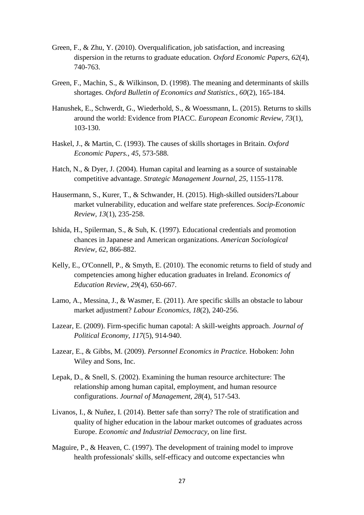- Green, F., & Zhu, Y. (2010). Overqualification, job satisfaction, and increasing dispersion in the returns to graduate education. *Oxford Economic Papers, 62*(4), 740-763.
- Green, F., Machin, S., & Wilkinson, D. (1998). The meaning and determinants of skills shortages. *Oxford Bulletin of Economics and Statistics., 60*(2), 165-184.
- Hanushek, E., Schwerdt, G., Wiederhold, S., & Woessmann, L. (2015). Returns to skills around the world: Evidence from PIACC. *European Economic Review, 73*(1), 103-130.
- Haskel, J., & Martin, C. (1993). The causes of skills shortages in Britain. *Oxford Economic Papers., 45*, 573-588.
- Hatch, N., & Dyer, J. (2004). Human capital and learning as a source of sustainable competitive advantage. *Strategic Management Journal, 25*, 1155-1178.
- Hausermann, S., Kurer, T., & Schwander, H. (2015). High-skilled outsiders?Labour market vulnerability, education and welfare state preferences. *Socip-Economic Review, 13*(1), 235-258.
- Ishida, H., Spilerman, S., & Suh, K. (1997). Educational credentials and promotion chances in Japanese and American organizations. *American Sociological Review, 62*, 866-882.
- Kelly, E., O'Connell, P., & Smyth, E. (2010). The economic returns to field of study and competencies among higher education graduates in Ireland. *Economics of Education Review, 29*(4), 650-667.
- Lamo, A., Messina, J., & Wasmer, E. (2011). Are specific skills an obstacle to labour market adjustment? *Labour Economics, 18*(2), 240-256.
- Lazear, E. (2009). Firm-specific human capotal: A skill-weights approach. *Journal of Political Economy, 117*(5), 914-940.
- Lazear, E., & Gibbs, M. (2009). *Personnel Economics in Practice.* Hoboken: John Wiley and Sons, Inc.
- Lepak, D., & Snell, S. (2002). Examining the human resource architecture: The relationship among human capital, employment, and human resource configurations. *Journal of Management, 28*(4), 517-543.
- Livanos, I., & Nuñez, I. (2014). Better safe than sorry? The role of stratification and quality of higher education in the labour market outcomes of graduates across Europe. *Economic and Industrial Democracy*, on line first.
- Maguire, P., & Heaven, C. (1997). The development of training model to improve health professionals' skills, self-efficacy and outcome expectancies whn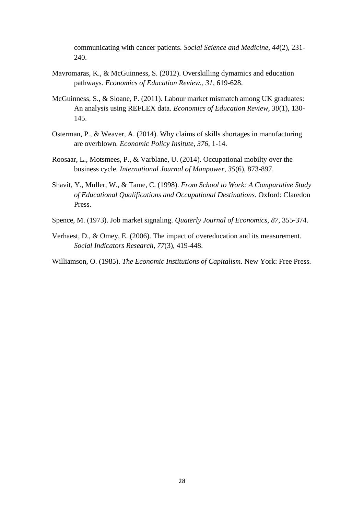communicating with cancer patients. *Social Science and Medicine, 44*(2), 231- 240.

- Mavromaras, K., & McGuinness, S. (2012). Overskilling dymamics and education pathways. *Economics of Education Review., 31*, 619-628.
- McGuinness, S., & Sloane, P. (2011). Labour market mismatch among UK graduates: An analysis using REFLEX data. *Economics of Education Review, 30*(1), 130- 145.
- Osterman, P., & Weaver, A. (2014). Why claims of skills shortages in manufacturing are overblown. *Economic Policy Insitute, 376*, 1-14.
- Roosaar, L., Motsmees, P., & Varblane, U. (2014). Occupational mobilty over the business cycle. *International Journal of Manpower, 35*(6), 873-897.
- Shavit, Y., Muller, W., & Tame, C. (1998). *From School to Work: A Comparative Study of Educational Qualifications and Occupational Destinations.* Oxford: Claredon Press.
- Spence, M. (1973). Job market signaling. *Quaterly Journal of Economics, 87*, 355-374.
- Verhaest, D., & Omey, E. (2006). The impact of overeducation and its measurement. *Social Indicators Research, 77*(3), 419-448.
- Williamson, O. (1985). *The Economic Institutions of Capitalism.* New York: Free Press.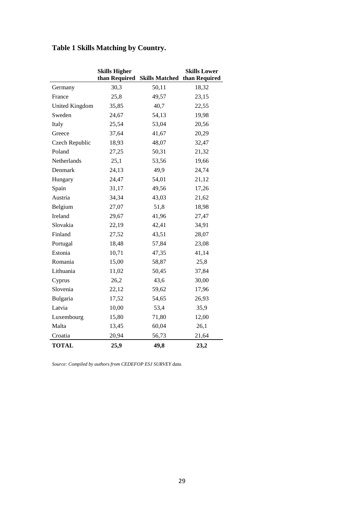|                | <b>Skills Higher</b> |                                            | <b>Skills Lower</b> |
|----------------|----------------------|--------------------------------------------|---------------------|
|                |                      | than Required Skills Matched than Required |                     |
| Germany        | 30,3                 | 50,11                                      | 18,32               |
| France         | 25,8                 | 49,57                                      | 23,15               |
| United Kingdom | 35,85                | 40,7                                       | 22,55               |
| Sweden         | 24,67                | 54,13                                      | 19,98               |
| Italy          | 25,54                | 53,04                                      | 20,56               |
| Greece         | 37,64                | 41,67                                      | 20,29               |
| Czech Republic | 18,93                | 48,07                                      | 32,47               |
| Poland         | 27,25                | 50,31                                      | 21,32               |
| Netherlands    | 25,1                 | 53,56                                      | 19,66               |
| Denmark        | 24,13                | 49,9                                       | 24,74               |
| Hungary        | 24,47                | 54,01                                      | 21,12               |
| Spain          | 31,17                | 49,56                                      | 17,26               |
| Austria        | 34,34                | 43,03                                      | 21,62               |
| Belgium        | 27,07                | 51,8                                       | 18,98               |
| Ireland        | 29,67                | 41,96                                      | 27,47               |
| Slovakia       | 22,19                | 42,41                                      | 34,91               |
| Finland        | 27,52                | 43,51                                      | 28,07               |
| Portugal       | 18,48                | 57,84                                      | 23,08               |
| Estonia        | 10,71                | 47,35                                      | 41,14               |
| Romania        | 15,00                | 58,87                                      | 25,8                |
| Lithuania      | 11,02                | 50,45                                      | 37,84               |
| Cyprus         | 26,2                 | 43,6                                       | 30,00               |
| Slovenia       | 22,12                | 59,62                                      | 17,96               |
| Bulgaria       | 17,52                | 54,65                                      | 26,93               |
| Latvia         | 10,00                | 53,4                                       | 35,9                |
| Luxembourg     | 15,80                | 71,80                                      | 12,00               |
| Malta          | 13,45                | 60,04                                      | 26,1                |
| Croatia        | 20,94                | 56,73                                      | 21,64               |
| <b>TOTAL</b>   | 25,9                 | 49,8                                       | 23,2                |

# **Table 1 Skills Matching by Country.**

*Source: Compiled by authors from CEDEFOP ESJ SURVEY data.*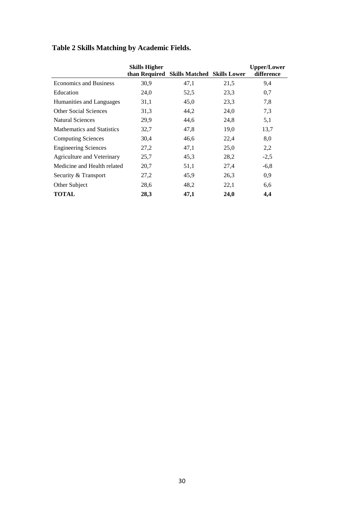|                                   | <b>Skills Higher</b><br>than Required | <b>Skills Matched Skills Lower</b> |      | <b>Upper/Lower</b><br>difference |
|-----------------------------------|---------------------------------------|------------------------------------|------|----------------------------------|
| <b>Economics and Business</b>     | 30,9                                  | 47,1                               | 21,5 | 9,4                              |
| Education                         | 24,0                                  | 52,5                               | 23,3 | 0,7                              |
| Humanities and Languages          | 31,1                                  | 45,0                               | 23,3 | 7,8                              |
| <b>Other Social Sciences</b>      | 31,3                                  | 44,2                               | 24,0 | 7,3                              |
| <b>Natural Sciences</b>           | 29,9                                  | 44,6                               | 24,8 | 5,1                              |
| <b>Mathematics and Statistics</b> | 32,7                                  | 47,8                               | 19,0 | 13,7                             |
| <b>Computing Sciences</b>         | 30,4                                  | 46,6                               | 22,4 | 8,0                              |
| <b>Engineering Sciences</b>       | 27,2                                  | 47,1                               | 25,0 | 2,2                              |
| Agriculture and Veterinary        | 25,7                                  | 45,3                               | 28,2 | $-2,5$                           |
| Medicine and Health related       | 20,7                                  | 51,1                               | 27,4 | $-6,8$                           |
| Security & Transport              | 27,2                                  | 45,9                               | 26,3 | 0,9                              |
| Other Subject                     | 28,6                                  | 48,2                               | 22,1 | 6,6                              |
| <b>TOTAL</b>                      | 28,3                                  | 47,1                               | 24,0 | 4,4                              |

# **Table 2 Skills Matching by Academic Fields.**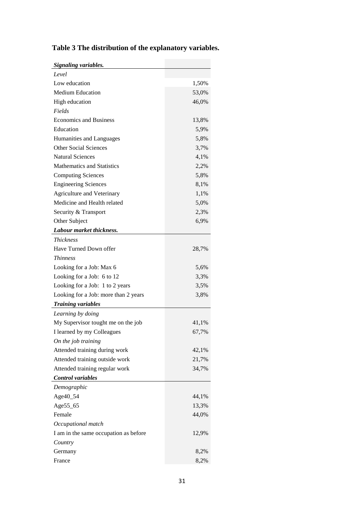| Signaling variables.                  |       |
|---------------------------------------|-------|
| Level                                 |       |
| Low education                         | 1,50% |
| <b>Medium Education</b>               | 53,0% |
| High education                        | 46,0% |
| Fields                                |       |
| <b>Economics and Business</b>         | 13,8% |
| Education                             | 5,9%  |
| Humanities and Languages              | 5,8%  |
| <b>Other Social Sciences</b>          | 3,7%  |
| <b>Natural Sciences</b>               | 4,1%  |
| <b>Mathematics and Statistics</b>     | 2,2%  |
| <b>Computing Sciences</b>             | 5,8%  |
| <b>Engineering Sciences</b>           | 8,1%  |
| <b>Agriculture and Veterinary</b>     | 1,1%  |
| Medicine and Health related           | 5,0%  |
| Security & Transport                  | 2,3%  |
| Other Subject                         | 6,9%  |
| Labour market thickness.              |       |
| <i>Thickness</i>                      |       |
| Have Turned Down offer                | 28,7% |
| <i>Thinness</i>                       |       |
| Looking for a Job: Max 6              | 5,6%  |
| Looking for a Job: 6 to 12            | 3,3%  |
| Looking for a Job: 1 to 2 years       | 3,5%  |
| Looking for a Job: more than 2 years  | 3,8%  |
| <b>Training variables</b>             |       |
| Learning by doing                     |       |
| My Supervisor tought me on the job    | 41,1% |
| I learned by my Colleagues            | 67,7% |
| On the job training                   |       |
| Attended training during work         | 42,1% |
| Attended training outside work        | 21,7% |
| Attended training regular work        | 34,7% |
| <b>Control variables</b>              |       |
| Demographic                           |       |
| Age40_54                              | 44,1% |
| Age55_65                              | 13,3% |
| Female                                | 44,0% |
| Occupational match                    |       |
| I am in the same occupation as before | 12,9% |
| Country                               |       |
| Germany                               | 8,2%  |
| France                                | 8,2%  |
|                                       |       |

# **Table 3 The distribution of the explanatory variables.**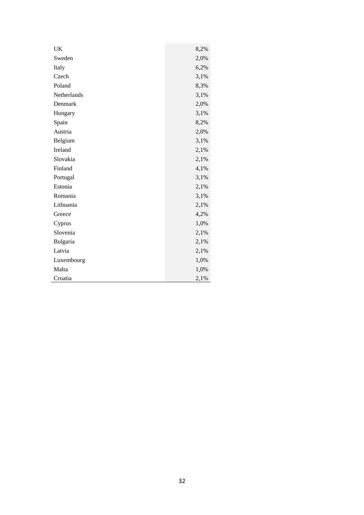| UK          | 8,2% |
|-------------|------|
| Sweden      | 2,0% |
| Italy       | 6,2% |
| Czech       | 3,1% |
| Poland      | 8,3% |
| Netherlands | 3,1% |
| Denmark     | 2,0% |
| Hungary     | 3,1% |
| Spain       | 8,2% |
| Austria     | 2,0% |
| Belgium     | 3,1% |
| Ireland     | 2,1% |
| Slovakia    | 2,1% |
| Finland     | 4,1% |
| Portugal    | 3,1% |
| Estonia     | 2,1% |
| Romania     | 3,1% |
| Lithuania   | 2,1% |
| Greece      | 4,2% |
| Cyprus      | 1,0% |
| Slovenia    | 2,1% |
| Bulgaria    | 2,1% |
| Latvia      | 2,1% |
| Luxembourg  | 1,0% |
| Malta       | 1,0% |
| Croatia     | 2,1% |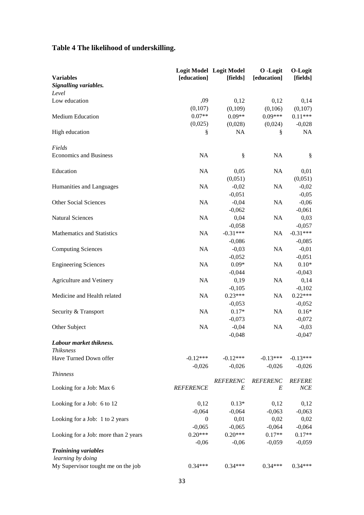# **Table 4 The likelihood of underskilling.**

| <b>Variables</b>                     | [education]      | Logit Model Logit Model<br>[fields] | O -Logit<br>[education] | O-Logit<br>[fields] |
|--------------------------------------|------------------|-------------------------------------|-------------------------|---------------------|
| Signalling variables.<br>Level       |                  |                                     |                         |                     |
| Low education                        | ,09              | 0,12                                | 0,12                    | 0,14                |
|                                      | (0,107)          | (0,109)                             | (0,106)                 | (0,107)             |
| Medium Education                     | $0.07**$         | $0.09**$                            | $0.09***$               | $0.11***$           |
|                                      | (0,025)          | (0,028)                             | (0,024)                 | $-0,028$            |
| High education                       | ş                | <b>NA</b>                           | ş                       | <b>NA</b>           |
| Fields                               |                  |                                     |                         |                     |
| <b>Economics and Business</b>        | NA               | ş                                   | <b>NA</b>               | $\S$                |
| Education                            | NA               | 0,05                                | <b>NA</b>               | 0,01                |
|                                      |                  | (0,051)                             |                         | (0,051)             |
| Humanities and Languages             | NA               | $-0,02$                             | <b>NA</b>               | $-0,02$             |
|                                      |                  | $-0,051$                            |                         | $-0,05$             |
| <b>Other Social Sciences</b>         | NA               | $-0,04$                             | NA                      | $-0,06$             |
|                                      |                  | $-0,062$                            |                         | $-0,061$            |
| <b>Natural Sciences</b>              | NA               | 0,04                                | NA                      | 0,03                |
|                                      |                  | $-0,058$                            |                         | $-0,057$            |
| Mathematics and Statistics           | NA               | $-0.31***$                          | NA                      | $-0.31***$          |
|                                      |                  | $-0,086$                            |                         | $-0,085$            |
| <b>Computing Sciences</b>            | NA               | $-0,03$                             | NA                      | $-0,01$             |
|                                      |                  | $-0,052$                            |                         | $-0,051$            |
| <b>Engineering Sciences</b>          | NA               | $0.09*$                             | NA                      | $0.10*$             |
|                                      |                  | $-0,044$                            |                         | $-0,043$            |
| Agriculture and Vetinery             | NA               | 0,19                                | NA                      | 0,14                |
|                                      |                  | $-0,105$                            |                         | $-0,102$            |
| Medicine and Health related          | NA               | $0.23***$                           | NA                      | $0.22***$           |
|                                      |                  | $-0,053$                            |                         | $-0,052$            |
| Security & Transport                 | NA               | $0.17*$                             | NA                      | $0.16*$             |
|                                      |                  | $-0,073$                            |                         | $-0,072$            |
| Other Subject                        | NA               | $-0,04$                             | NA                      | $-0,03$             |
| Labour market thikness.              |                  | $-0,048$                            |                         | $-0,047$            |
| <b>Thiksness</b>                     |                  |                                     |                         |                     |
| Have Turned Down offer               | $-0.12***$       | $-0.12***$                          | $-0.13***$              | $-0.13***$          |
|                                      | $-0,026$         | $-0,026$                            | $-0,026$                | $-0,026$            |
| <b>Thinness</b>                      |                  | <b>REFERENC</b>                     | <b>REFERENC</b>         | <b>REFERE</b>       |
| Looking for a Job: Max 6             | <b>REFERENCE</b> | E                                   | E                       | NCE                 |
| Looking for a Job: 6 to 12           | 0,12             | $0.13*$                             | 0,12                    | 0,12                |
|                                      | $-0,064$         | $-0,064$                            | $-0,063$                | $-0,063$            |
| Looking for a Job: 1 to 2 years      | $\boldsymbol{0}$ | 0,01                                | 0,02                    | 0,02                |
|                                      | $-0,065$         | $-0,065$                            | $-0,064$                | $-0,064$            |
| Looking for a Job: more than 2 years | $0.20***$        | $0.20***$                           | $0.17**$                | $0.17**$            |
|                                      | $-0,06$          | $-0,06$                             | $-0,059$                | $-0,059$            |
| <b>Trainining variables</b>          |                  |                                     |                         |                     |
| learning by doing                    |                  |                                     |                         |                     |
| My Supervisor tought me on the job   | $0.34***$        | $0.34***$                           | $0.34***$               | $0.34***$           |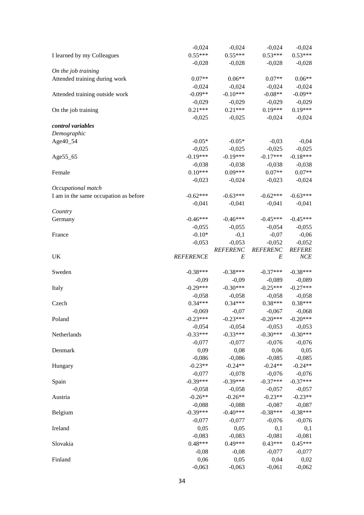|                                       | $-0,024$         | $-0,024$         | $-0,024$         | $-0,024$         |
|---------------------------------------|------------------|------------------|------------------|------------------|
| I learned by my Colleagues            | $0.55***$        | $0.55***$        | $0.53***$        | $0.53***$        |
|                                       | $-0,028$         | $-0,028$         | $-0,028$         | $-0,028$         |
| On the job training                   |                  |                  |                  |                  |
| Attended training during work         | $0.07**$         | $0.06**$         | $0.07**$         | $0.06**$         |
|                                       | $-0,024$         | $-0,024$         | $-0,024$         | $-0,024$         |
| Attended training outside work        | $-0.09**$        | $-0.10***$       | $-0.08**$        | $-0.09**$        |
|                                       | $-0,029$         | $-0,029$         | $-0,029$         | $-0,029$         |
| On the job training                   | $0.21***$        | $0.21***$        | $0.19***$        | $0.19***$        |
|                                       | $-0,025$         | $-0,025$         | $-0,024$         | $-0,024$         |
| control variables                     |                  |                  |                  |                  |
| Demographic                           |                  |                  |                  |                  |
| Age40_54                              | $-0.05*$         | $-0.05*$         | $-0,03$          | $-0,04$          |
|                                       | $-0,025$         | $-0,025$         | $-0,025$         | $-0,025$         |
| Age55_65                              | $-0.19***$       | $-0.19***$       | $-0.17***$       | $-0.18***$       |
|                                       | $-0,038$         | $-0,038$         | $-0,038$         | $-0,038$         |
|                                       | $0.10***$        | $0.09***$        | $0.07**$         | $0.07**$         |
| Female                                |                  |                  |                  |                  |
|                                       | $-0,023$         | $-0,024$         | $-0,023$         | $-0,024$         |
| Occupational match                    |                  |                  |                  |                  |
| I am in the same occupation as before | $-0.62***$       | $-0.63***$       | $-0.62***$       | $-0.63***$       |
|                                       | $-0,041$         | $-0,041$         | $-0,041$         | $-0,041$         |
| Country                               |                  |                  |                  |                  |
| Germany                               | $-0.46***$       | $-0.46***$       | $-0.45***$       | $-0.45***$       |
|                                       | $-0,055$         | $-0,055$         | $-0,054$         | $-0,055$         |
| France                                | $-0.10*$         | $-0,1$           | $-0,07$          | $-0,06$          |
|                                       | $-0,053$         | $-0,053$         | $-0,052$         | $-0,052$         |
|                                       |                  | <b>REFERENC</b>  | <b>REFERENC</b>  | <b>REFERE</b>    |
| UK                                    | <b>REFERENCE</b> | E                | E                | NCE              |
|                                       |                  |                  |                  |                  |
| Sweden                                | $-0.38***$       | $-0.38***$       | $-0.37***$       | $-0.38***$       |
|                                       | $-0,09$          | $-0,09$          | $-0,089$         | $-0,089$         |
| Italy                                 | $-0.29***$       | $-0.30***$       | $-0.25***$       | $-0.27***$       |
|                                       | $-0,058$         | $-0,058$         | $-0,058$         | $-0,058$         |
| Czech                                 | $0.34***$        | $0.34***$        | $0.38***$        | $0.38***$        |
|                                       | $-0,069$         | $-0,07$          | $-0,067$         | $-0,068$         |
| Poland                                | $-0.23***$       | $-0.23***$       | $-0.20***$       | $-0.20***$       |
|                                       | $-0,054$         | $-0,054$         | $-0,053$         | $-0,053$         |
| Netherlands                           | $-0.33***$       | $-0.33***$       | $-0.30***$       | $-0.30***$       |
|                                       | $-0,077$         | $-0,077$         | $-0,076$         | $-0,076$         |
| Denmark                               | 0,09             | 0,08             | 0,06             | 0,05             |
|                                       | $-0,086$         | $-0,086$         | $-0,085$         | $-0,085$         |
| Hungary                               | $-0.23**$        | $-0.24**$        | $-0.24**$        | $-0.24**$        |
|                                       | $-0,077$         | $-0,078$         | $-0,076$         | $-0,076$         |
| Spain                                 | $-0.39***$       | $-0.39***$       | $-0.37***$       | $-0.37***$       |
|                                       | $-0,058$         | $-0,058$         | $-0,057$         | $-0,057$         |
| Austria                               | $-0.26**$        | $-0.26**$        | $-0.23**$        | $-0.23**$        |
|                                       | $-0,088$         | $-0,088$         | $-0,087$         | $-0,087$         |
| Belgium                               | $-0.39***$       | $-0.40***$       | $-0.38***$       | $-0.38***$       |
|                                       | $-0,077$         | $-0,077$         | $-0,076$         | $-0,076$         |
| Ireland                               | 0,05             | 0,05             | 0,1              | 0,1              |
|                                       | $-0,083$         | $-0,083$         | $-0,081$         | $-0,081$         |
| Slovakia                              | $0.48***$        | $0.49***$        | $0.43***$        | $0.45***$        |
|                                       | $-0,08$          | $-0,08$          | $-0,077$         | $-0,077$         |
|                                       |                  |                  |                  |                  |
|                                       |                  |                  |                  |                  |
| Finland                               | 0,06<br>$-0,063$ | 0,05<br>$-0,063$ | 0,04<br>$-0,061$ | 0,02<br>$-0,062$ |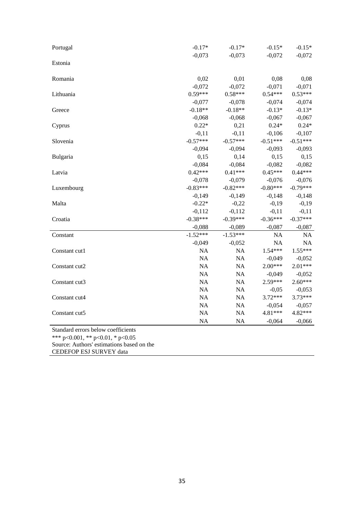| Portugal                           | $-0.17*$   | $-0.17*$   | $-0.15*$   | $-0.15*$   |
|------------------------------------|------------|------------|------------|------------|
|                                    | $-0,073$   | $-0,073$   | $-0,072$   | $-0,072$   |
| Estonia                            |            |            |            |            |
| Romania                            | 0,02       | 0,01       | 0,08       | 0,08       |
|                                    | $-0,072$   | $-0,072$   | $-0,071$   | $-0,071$   |
| Lithuania                          | $0.59***$  | $0.58***$  | $0.54***$  | $0.53***$  |
|                                    | $-0,077$   | $-0,078$   | $-0,074$   | $-0,074$   |
| Greece                             | $-0.18**$  | $-0.18**$  | $-0.13*$   | $-0.13*$   |
|                                    | $-0,068$   | $-0,068$   | $-0,067$   | $-0,067$   |
| Cyprus                             | $0.22*$    | 0,21       | $0.24*$    | $0.24*$    |
|                                    | $-0,11$    | $-0,11$    | $-0,106$   | $-0,107$   |
| Slovenia                           | $-0.57***$ | $-0.57***$ | $-0.51***$ | $-0.51***$ |
|                                    | $-0,094$   | $-0,094$   | $-0,093$   | $-0,093$   |
| Bulgaria                           | 0,15       | 0,14       | 0,15       | 0,15       |
|                                    | $-0,084$   | $-0,084$   | $-0,082$   | $-0,082$   |
| Latvia                             | $0.42***$  | $0.41***$  | $0.45***$  | $0.44***$  |
|                                    | $-0,078$   | $-0,079$   | $-0,076$   | $-0,076$   |
| Luxembourg                         | $-0.83***$ | $-0.82***$ | $-0.80***$ | $-0.79***$ |
|                                    | $-0,149$   | $-0,149$   | $-0,148$   | $-0,148$   |
| Malta                              | $-0.22*$   | $-0,22$    | $-0,19$    | $-0,19$    |
|                                    | $-0,112$   | $-0,112$   | $-0,11$    | $-0,11$    |
| Croatia                            | $-0.38***$ | $-0.39***$ | $-0.36***$ | $-0.37***$ |
|                                    | $-0,088$   | $-0,089$   | $-0,087$   | $-0,087$   |
| Constant                           | $-1.52***$ | $-1.53***$ | NA         | NA         |
|                                    | $-0,049$   | $-0,052$   | NA         | NA         |
| Constant cut1                      | <b>NA</b>  | NA         | $1.54***$  | $1.55***$  |
|                                    | <b>NA</b>  | <b>NA</b>  | $-0,049$   | $-0,052$   |
| Constant cut2                      | <b>NA</b>  | NA         | $2.00***$  | $2.01***$  |
|                                    | <b>NA</b>  | NA         | $-0,049$   | $-0,052$   |
| Constant cut3                      | <b>NA</b>  | NA         | 2.59***    | $2.60***$  |
|                                    | <b>NA</b>  | NA         | $-0,05$    | $-0,053$   |
| Constant cut4                      | <b>NA</b>  | NA         | $3.72***$  | $3.73***$  |
|                                    | <b>NA</b>  | NA         | $-0,054$   | $-0,057$   |
| Constant cut5                      | <b>NA</b>  | NA         | 4.81***    | 4.82***    |
|                                    | <b>NA</b>  | <b>NA</b>  | $-0,064$   | $-0,066$   |
| Standard errors below coefficients |            |            |            |            |

\*\*\* p<0.001, \*\* p<0.01, \* p<0.05

Source: Authors' estimations based on the

CEDEFOP ESJ SURVEY data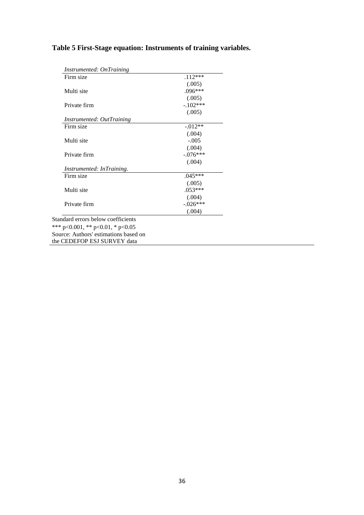# **Table 5 First-Stage equation: Instruments of training variables.**

| Firm size                 | $.112***$  |
|---------------------------|------------|
|                           | (.005)     |
| Multi site                | $.096***$  |
|                           | (.005)     |
| Private firm              | $-.102***$ |
|                           | (.005)     |
| Instrumented: OutTraining |            |
| Firm size                 | $-0.012**$ |
|                           | (.004)     |
| Multi site                | $-.005$    |
|                           | (.004)     |
| Private firm              | $-.076***$ |
|                           | (.004)     |
| Instrumented: InTraining. |            |
| Firm size                 | $.045***$  |
|                           | (.005)     |
| Multi site                | $.053***$  |
|                           | (.004)     |
| Private firm              | $-.026***$ |
|                           | (.004)     |

\*\*\* p<0.001, \*\* p<0.01, \* p<0.05 Source: Authors' estimations based on

the CEDEFOP ESJ SURVEY data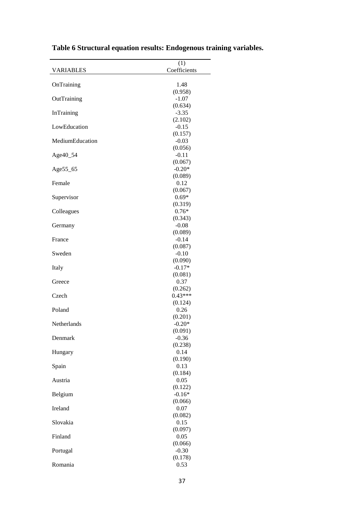| <b>VARIABLES</b> | (1)<br>Coefficients |
|------------------|---------------------|
| OnTraining       | 1.48                |
|                  | (0.958)             |
| OutTraining      | $-1.07$             |
| InTraining       | (0.634)<br>$-3.35$  |
|                  | (2.102)             |
| LowEducation     | $-0.15$             |
| MediumEducation  | (0.157)<br>$-0.03$  |
|                  | (0.056)             |
| Age40_54         | $-0.11$             |
| Age55_65         | (0.067)<br>$-0.20*$ |
|                  | (0.089)             |
| Female           | 0.12                |
| Supervisor       | (0.067)<br>$0.69*$  |
|                  | (0.319)             |
| Colleagues       | $0.76*$             |
| Germany          | (0.343)<br>$-0.08$  |
|                  | (0.089)             |
| France           | $-0.14$             |
| Sweden           | (0.087)<br>$-0.10$  |
|                  | (0.090)             |
| Italy            | $-0.17*$            |
| Greece           | (0.081)<br>0.37     |
|                  | (0.262)             |
| Czech            | $0.43***$           |
|                  | (0.124)             |
| Poland           | 0.26<br>(0.201)     |
| Netherlands      | $-0.20*$            |
|                  | (0.091)             |
| Denmark          | $-0.36$<br>(0.238)  |
| Hungary          | 0.14                |
|                  | (0.190)             |
| Spain            | 0.13<br>(0.184)     |
| Austria          | 0.05                |
|                  | (0.122)             |
| Belgium          | $-0.16*$<br>(0.066) |
| Ireland          | 0.07                |
|                  | (0.082)             |
| Slovakia         | 0.15<br>(0.097)     |
| Finland          | 0.05                |
|                  | (0.066)             |
| Portugal         | $-0.30$<br>(0.178)  |
| Romania          | 0.53                |
|                  |                     |

**Table 6 Structural equation results: Endogenous training variables.**